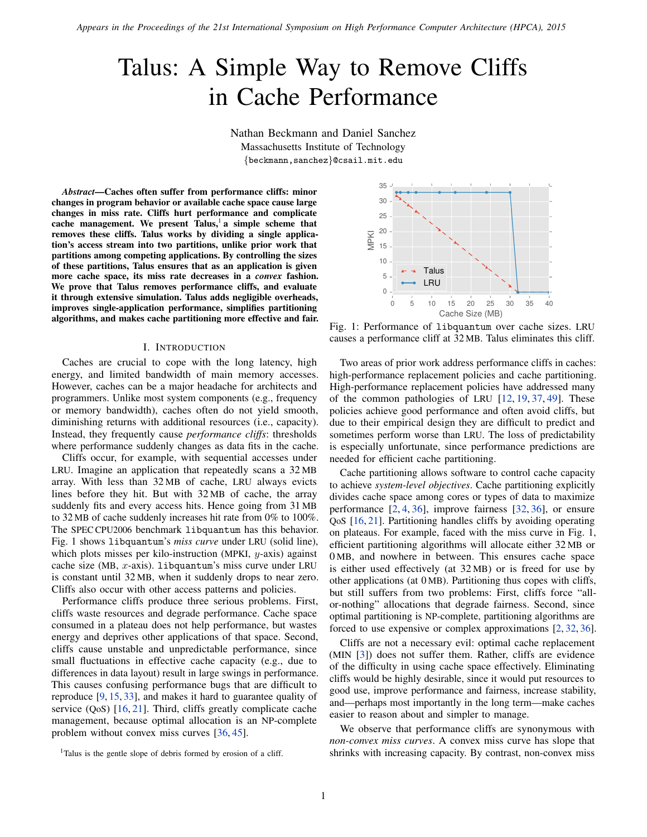*Appears in the Proceedings of the 21st International Symposium on High Performance Computer Architecture (HPCA), 2015*

# Talus: A Simple Way to Remove Cliffs in Cache Performance

Nathan Beckmann and Daniel Sanchez Massachusetts Institute of Technology {beckmann,sanchez}@csail.mit.edu

*Abstract*—Caches often suffer from performance cliffs: minor changes in program behavior or available cache space cause large changes in miss rate. Cliffs hurt performance and complicate cache management. We present Talus,<sup>[1](#page-0-0)</sup> a simple scheme that removes these cliffs. Talus works by dividing a single application's access stream into two partitions, unlike prior work that partitions among competing applications. By controlling the sizes of these partitions, Talus ensures that as an application is given more cache space, its miss rate decreases in a *convex* fashion. We prove that Talus removes performance cliffs, and evaluate it through extensive simulation. Talus adds negligible overheads, improves single-application performance, simplifies partitioning algorithms, and makes cache partitioning more effective and fair.

# I. INTRODUCTION

<span id="page-0-2"></span>Caches are crucial to cope with the long latency, high energy, and limited bandwidth of main memory accesses. However, caches can be a major headache for architects and programmers. Unlike most system components (e.g., frequency or memory bandwidth), caches often do not yield smooth, diminishing returns with additional resources (i.e., capacity). Instead, they frequently cause *performance cliffs*: thresholds where performance suddenly changes as data fits in the cache.

Cliffs occur, for example, with sequential accesses under LRU. Imagine an application that repeatedly scans a 32 MB array. With less than 32 MB of cache, LRU always evicts lines before they hit. But with 32 MB of cache, the array suddenly fits and every access hits. Hence going from 31 MB to 32 MB of cache suddenly increases hit rate from 0% to 100%. The SPEC CPU2006 benchmark libquantum has this behavior. [Fig. 1](#page-0-1) shows libquantum's *miss curve* under LRU (solid line), which plots misses per kilo-instruction (MPKI,  $y$ -axis) against cache size (MB,  $x$ -axis). Libquantum's miss curve under LRU is constant until 32 MB, when it suddenly drops to near zero. Cliffs also occur with other access patterns and policies.

Performance cliffs produce three serious problems. First, cliffs waste resources and degrade performance. Cache space consumed in a plateau does not help performance, but wastes energy and deprives other applications of that space. Second, cliffs cause unstable and unpredictable performance, since small fluctuations in effective cache capacity (e.g., due to differences in data layout) result in large swings in performance. This causes confusing performance bugs that are difficult to reproduce [\[9,](#page-11-0) [15,](#page-11-1) [33\]](#page-11-2), and makes it hard to guarantee quality of service (QoS) [\[16,](#page-11-3) [21\]](#page-11-4). Third, cliffs greatly complicate cache management, because optimal allocation is an NP-complete problem without convex miss curves [\[36,](#page-11-5) [45\]](#page-11-6).

<span id="page-0-1"></span>

Fig. 1: Performance of libquantum over cache sizes. LRU causes a performance cliff at 32 MB. Talus eliminates this cliff.

Two areas of prior work address performance cliffs in caches: high-performance replacement policies and cache partitioning. High-performance replacement policies have addressed many of the common pathologies of LRU [\[12,](#page-11-7) [19,](#page-11-8) [37,](#page-11-9) [49\]](#page-11-10). These policies achieve good performance and often avoid cliffs, but due to their empirical design they are difficult to predict and sometimes perform worse than LRU. The loss of predictability is especially unfortunate, since performance predictions are needed for efficient cache partitioning.

Cache partitioning allows software to control cache capacity to achieve *system-level objectives*. Cache partitioning explicitly divides cache space among cores or types of data to maximize performance  $[2, 4, 36]$  $[2, 4, 36]$  $[2, 4, 36]$  $[2, 4, 36]$ , improve fairness  $[32, 36]$ , or ensure QoS [\[16,](#page-11-3) [21\]](#page-11-4). Partitioning handles cliffs by avoiding operating on plateaus. For example, faced with the miss curve in [Fig. 1,](#page-0-1) efficient partitioning algorithms will allocate either 32 MB or 0 MB, and nowhere in between. This ensures cache space is either used effectively (at 32 MB) or is freed for use by other applications (at 0 MB). Partitioning thus copes with cliffs, but still suffers from two problems: First, cliffs force "allor-nothing" allocations that degrade fairness. Second, since optimal partitioning is NP-complete, partitioning algorithms are forced to use expensive or complex approximations [\[2,](#page-11-11) [32,](#page-11-13) [36\]](#page-11-5).

Cliffs are not a necessary evil: optimal cache replacement (MIN [\[3\]](#page-11-14)) does not suffer them. Rather, cliffs are evidence of the difficulty in using cache space effectively. Eliminating cliffs would be highly desirable, since it would put resources to good use, improve performance and fairness, increase stability, and—perhaps most importantly in the long term—make caches easier to reason about and simpler to manage.

We observe that performance cliffs are synonymous with *non-convex miss curves*. A convex miss curve has slope that shrinks with increasing capacity. By contrast, non-convex miss

<span id="page-0-0"></span><sup>1</sup>Talus is the gentle slope of debris formed by erosion of a cliff.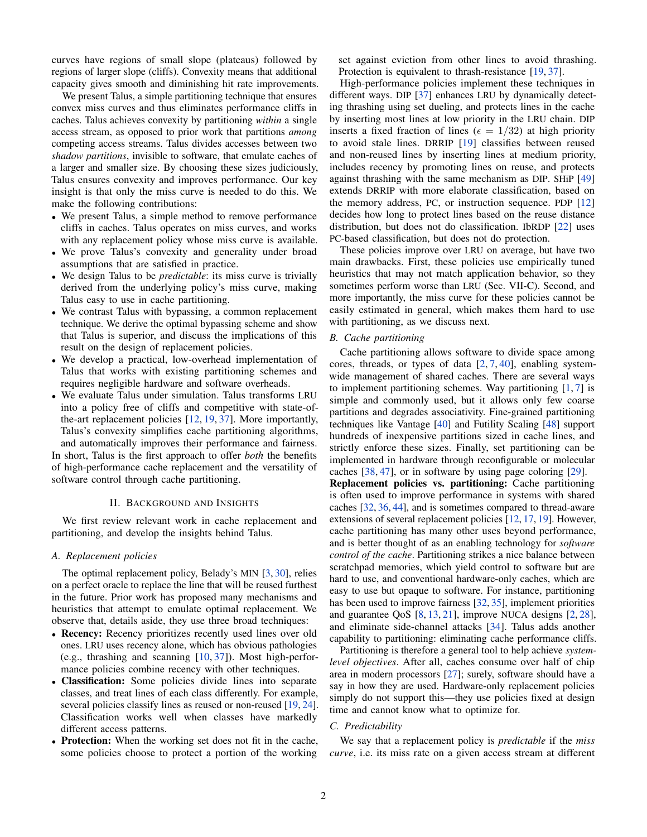curves have regions of small slope (plateaus) followed by regions of larger slope (cliffs). Convexity means that additional capacity gives smooth and diminishing hit rate improvements.

We present Talus, a simple partitioning technique that ensures convex miss curves and thus eliminates performance cliffs in caches. Talus achieves convexity by partitioning *within* a single access stream, as opposed to prior work that partitions *among* competing access streams. Talus divides accesses between two *shadow partitions*, invisible to software, that emulate caches of a larger and smaller size. By choosing these sizes judiciously, Talus ensures convexity and improves performance. Our key insight is that only the miss curve is needed to do this. We make the following contributions:

- We present Talus, a simple method to remove performance cliffs in caches. Talus operates on miss curves, and works with any replacement policy whose miss curve is available.
- We prove Talus's convexity and generality under broad assumptions that are satisfied in practice.
- We design Talus to be *predictable*: its miss curve is trivially derived from the underlying policy's miss curve, making Talus easy to use in cache partitioning.
- We contrast Talus with bypassing, a common replacement technique. We derive the optimal bypassing scheme and show that Talus is superior, and discuss the implications of this result on the design of replacement policies.
- We develop a practical, low-overhead implementation of Talus that works with existing partitioning schemes and requires negligible hardware and software overheads.
- We evaluate Talus under simulation. Talus transforms LRU into a policy free of cliffs and competitive with state-ofthe-art replacement policies [\[12,](#page-11-7) [19,](#page-11-8) [37\]](#page-11-9). More importantly, Talus's convexity simplifies cache partitioning algorithms, and automatically improves their performance and fairness.

In short, Talus is the first approach to offer *both* the benefits of high-performance cache replacement and the versatility of software control through cache partitioning.

## II. BACKGROUND AND INSIGHTS

<span id="page-1-0"></span>We first review relevant work in cache replacement and partitioning, and develop the insights behind Talus.

# *A. Replacement policies*

The optimal replacement policy, Belady's MIN [\[3,](#page-11-14) [30\]](#page-11-15), relies on a perfect oracle to replace the line that will be reused furthest in the future. Prior work has proposed many mechanisms and heuristics that attempt to emulate optimal replacement. We observe that, details aside, they use three broad techniques:

- Recency: Recency prioritizes recently used lines over old ones. LRU uses recency alone, which has obvious pathologies (e.g., thrashing and scanning [\[10,](#page-11-16) [37\]](#page-11-9)). Most high-performance policies combine recency with other techniques.
- Classification: Some policies divide lines into separate classes, and treat lines of each class differently. For example, several policies classify lines as reused or non-reused [\[19,](#page-11-8) [24\]](#page-11-17). Classification works well when classes have markedly different access patterns.
- Protection: When the working set does not fit in the cache, some policies choose to protect a portion of the working

set against eviction from other lines to avoid thrashing. Protection is equivalent to thrash-resistance [\[19,](#page-11-8) [37\]](#page-11-9).

High-performance policies implement these techniques in different ways. DIP [\[37\]](#page-11-9) enhances LRU by dynamically detecting thrashing using set dueling, and protects lines in the cache by inserting most lines at low priority in the LRU chain. DIP inserts a fixed fraction of lines ( $\epsilon = 1/32$ ) at high priority to avoid stale lines. DRRIP [\[19\]](#page-11-8) classifies between reused and non-reused lines by inserting lines at medium priority, includes recency by promoting lines on reuse, and protects against thrashing with the same mechanism as DIP. SHiP [\[49\]](#page-11-10) extends DRRIP with more elaborate classification, based on the memory address, PC, or instruction sequence. PDP [\[12\]](#page-11-7) decides how long to protect lines based on the reuse distance distribution, but does not do classification. IbRDP [\[22\]](#page-11-18) uses PC-based classification, but does not do protection.

These policies improve over LRU on average, but have two main drawbacks. First, these policies use empirically tuned heuristics that may not match application behavior, so they sometimes perform worse than LRU (Sec. [VII-C\)](#page-8-0). Second, and more importantly, the miss curve for these policies cannot be easily estimated in general, which makes them hard to use with partitioning, as we discuss next.

# *B. Cache partitioning*

Cache partitioning allows software to divide space among cores, threads, or types of data  $[2, 7, 40]$  $[2, 7, 40]$  $[2, 7, 40]$  $[2, 7, 40]$ , enabling systemwide management of shared caches. There are several ways to implement partitioning schemes. Way partitioning [\[1,](#page-11-21) [7\]](#page-11-19) is simple and commonly used, but it allows only few coarse partitions and degrades associativity. Fine-grained partitioning techniques like Vantage [\[40\]](#page-11-20) and Futility Scaling [\[48\]](#page-11-22) support hundreds of inexpensive partitions sized in cache lines, and strictly enforce these sizes. Finally, set partitioning can be implemented in hardware through reconfigurable or molecular caches [\[38,](#page-11-23) [47\]](#page-11-24), or in software by using page coloring [\[29\]](#page-11-25).

Replacement policies vs. partitioning: Cache partitioning is often used to improve performance in systems with shared caches [\[32,](#page-11-13) [36,](#page-11-5) [44\]](#page-11-26), and is sometimes compared to thread-aware extensions of several replacement policies [\[12,](#page-11-7) [17,](#page-11-27) [19\]](#page-11-8). However, cache partitioning has many other uses beyond performance, and is better thought of as an enabling technology for *software control of the cache*. Partitioning strikes a nice balance between scratchpad memories, which yield control to software but are hard to use, and conventional hardware-only caches, which are easy to use but opaque to software. For instance, partitioning has been used to improve fairness [\[32,](#page-11-13) [35\]](#page-11-28), implement priorities and guarantee QoS [\[8,](#page-11-29) [13,](#page-11-30) [21\]](#page-11-4), improve NUCA designs [\[2,](#page-11-11) [28\]](#page-11-31), and eliminate side-channel attacks [\[34\]](#page-11-32). Talus adds another capability to partitioning: eliminating cache performance cliffs.

Partitioning is therefore a general tool to help achieve *systemlevel objectives*. After all, caches consume over half of chip area in modern processors [\[27\]](#page-11-33); surely, software should have a say in how they are used. Hardware-only replacement policies simply do not support this—they use policies fixed at design time and cannot know what to optimize for.

# *C. Predictability*

We say that a replacement policy is *predictable* if the *miss curve*, i.e. its miss rate on a given access stream at different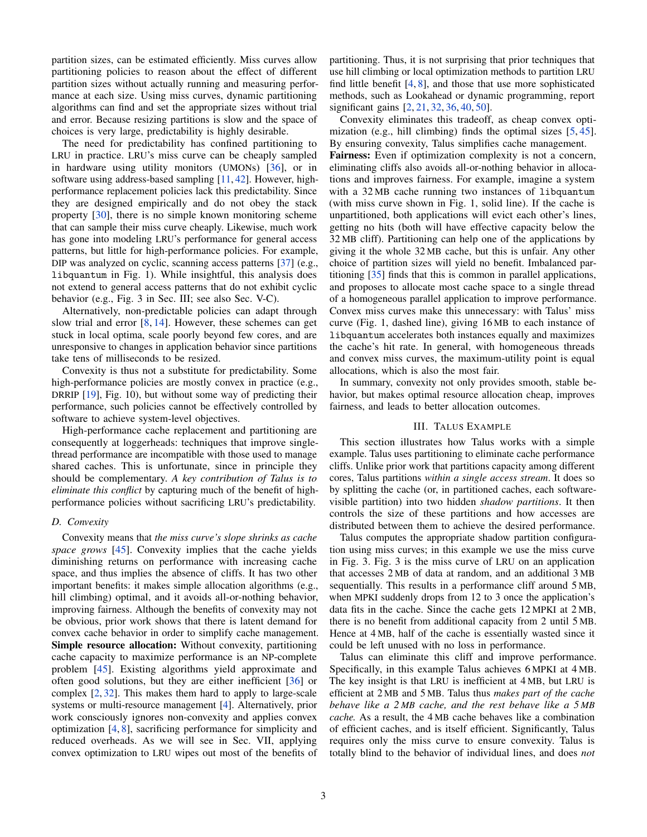partition sizes, can be estimated efficiently. Miss curves allow partitioning policies to reason about the effect of different partition sizes without actually running and measuring performance at each size. Using miss curves, dynamic partitioning algorithms can find and set the appropriate sizes without trial and error. Because resizing partitions is slow and the space of choices is very large, predictability is highly desirable.

The need for predictability has confined partitioning to LRU in practice. LRU's miss curve can be cheaply sampled in hardware using utility monitors (UMONs) [\[36\]](#page-11-5), or in software using address-based sampling [\[11,](#page-11-34) [42\]](#page-11-35). However, highperformance replacement policies lack this predictability. Since they are designed empirically and do not obey the stack property [\[30\]](#page-11-15), there is no simple known monitoring scheme that can sample their miss curve cheaply. Likewise, much work has gone into modeling LRU's performance for general access patterns, but little for high-performance policies. For example, DIP was analyzed on cyclic, scanning access patterns [\[37\]](#page-11-9) (e.g., libquantum in [Fig. 1\)](#page-0-1). While insightful, this analysis does not extend to general access patterns that do not exhibit cyclic behavior (e.g., [Fig. 3](#page-3-0) in [Sec. III;](#page-2-0) see also [Sec. V-C\)](#page-5-0).

Alternatively, non-predictable policies can adapt through slow trial and error [\[8,](#page-11-29) [14\]](#page-11-36). However, these schemes can get stuck in local optima, scale poorly beyond few cores, and are unresponsive to changes in application behavior since partitions take tens of milliseconds to be resized.

Convexity is thus not a substitute for predictability. Some high-performance policies are mostly convex in practice (e.g., DRRIP [\[19\]](#page-11-8), [Fig. 10\)](#page-9-0), but without some way of predicting their performance, such policies cannot be effectively controlled by software to achieve system-level objectives.

High-performance cache replacement and partitioning are consequently at loggerheads: techniques that improve singlethread performance are incompatible with those used to manage shared caches. This is unfortunate, since in principle they should be complementary. *A key contribution of Talus is to eliminate this conflict* by capturing much of the benefit of highperformance policies without sacrificing LRU's predictability.

# *D. Convexity*

Convexity means that *the miss curve's slope shrinks as cache space grows* [\[45\]](#page-11-6). Convexity implies that the cache yields diminishing returns on performance with increasing cache space, and thus implies the absence of cliffs. It has two other important benefits: it makes simple allocation algorithms (e.g., hill climbing) optimal, and it avoids all-or-nothing behavior, improving fairness. Although the benefits of convexity may not be obvious, prior work shows that there is latent demand for convex cache behavior in order to simplify cache management. Simple resource allocation: Without convexity, partitioning cache capacity to maximize performance is an NP-complete problem [\[45\]](#page-11-6). Existing algorithms yield approximate and often good solutions, but they are either inefficient [\[36\]](#page-11-5) or complex [\[2,](#page-11-11) [32\]](#page-11-13). This makes them hard to apply to large-scale systems or multi-resource management [\[4\]](#page-11-12). Alternatively, prior work consciously ignores non-convexity and applies convex optimization [\[4,](#page-11-12) [8\]](#page-11-29), sacrificing performance for simplicity and reduced overheads. As we will see in [Sec. VII,](#page-7-0) applying convex optimization to LRU wipes out most of the benefits of

partitioning. Thus, it is not surprising that prior techniques that use hill climbing or local optimization methods to partition LRU find little benefit  $[4, 8]$  $[4, 8]$ , and those that use more sophisticated methods, such as Lookahead or dynamic programming, report significant gains [\[2,](#page-11-11) [21,](#page-11-4) [32,](#page-11-13) [36,](#page-11-5) [40,](#page-11-20) [50\]](#page-11-37).

Convexity eliminates this tradeoff, as cheap convex optimization (e.g., hill climbing) finds the optimal sizes [\[5,](#page-11-38) [45\]](#page-11-6). By ensuring convexity, Talus simplifies cache management.

Fairness: Even if optimization complexity is not a concern, eliminating cliffs also avoids all-or-nothing behavior in allocations and improves fairness. For example, imagine a system with a 32 MB cache running two instances of libquantum (with miss curve shown in [Fig. 1,](#page-0-1) solid line). If the cache is unpartitioned, both applications will evict each other's lines, getting no hits (both will have effective capacity below the 32 MB cliff). Partitioning can help one of the applications by giving it the whole 32 MB cache, but this is unfair. Any other choice of partition sizes will yield no benefit. Imbalanced partitioning [\[35\]](#page-11-28) finds that this is common in parallel applications, and proposes to allocate most cache space to a single thread of a homogeneous parallel application to improve performance. Convex miss curves make this unnecessary: with Talus' miss curve [\(Fig. 1,](#page-0-1) dashed line), giving 16 MB to each instance of libquantum accelerates both instances equally and maximizes the cache's hit rate. In general, with homogeneous threads and convex miss curves, the maximum-utility point is equal allocations, which is also the most fair.

In summary, convexity not only provides smooth, stable behavior, but makes optimal resource allocation cheap, improves fairness, and leads to better allocation outcomes.

## III. TALUS EXAMPLE

<span id="page-2-0"></span>This section illustrates how Talus works with a simple example. Talus uses partitioning to eliminate cache performance cliffs. Unlike prior work that partitions capacity among different cores, Talus partitions *within a single access stream*. It does so by splitting the cache (or, in partitioned caches, each softwarevisible partition) into two hidden *shadow partitions*. It then controls the size of these partitions and how accesses are distributed between them to achieve the desired performance.

Talus computes the appropriate shadow partition configuration using miss curves; in this example we use the miss curve in [Fig. 3. Fig. 3](#page-3-0) is the miss curve of LRU on an application that accesses 2 MB of data at random, and an additional 3 MB sequentially. This results in a performance cliff around 5 MB, when MPKI suddenly drops from 12 to 3 once the application's data fits in the cache. Since the cache gets 12 MPKI at 2 MB, there is no benefit from additional capacity from 2 until 5 MB. Hence at 4 MB, half of the cache is essentially wasted since it could be left unused with no loss in performance.

Talus can eliminate this cliff and improve performance. Specifically, in this example Talus achieves 6 MPKI at 4 MB. The key insight is that LRU is inefficient at 4 MB, but LRU is efficient at 2 MB and 5 MB. Talus thus *makes part of the cache behave like a 2 MB cache, and the rest behave like a 5 MB cache.* As a result, the 4 MB cache behaves like a combination of efficient caches, and is itself efficient. Significantly, Talus requires only the miss curve to ensure convexity. Talus is totally blind to the behavior of individual lines, and does *not*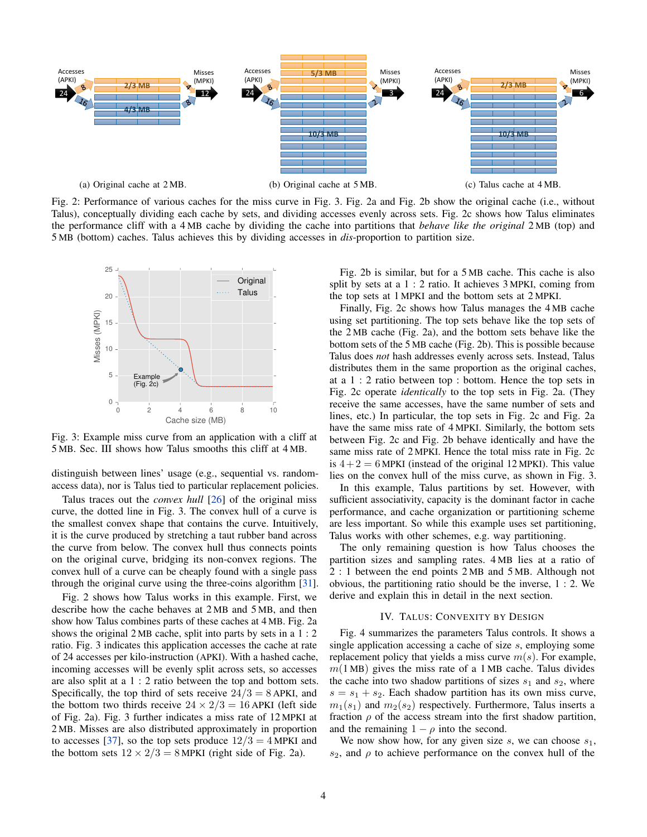<span id="page-3-1"></span>

Fig. 2: Performance of various caches for the miss curve in [Fig. 3.](#page-3-0) [Fig. 2a](#page-3-1) and [Fig. 2b](#page-3-1) show the original cache (i.e., without Talus), conceptually dividing each cache by sets, and dividing accesses evenly across sets. [Fig. 2c](#page-3-1) shows how Talus eliminates the performance cliff with a 4 MB cache by dividing the cache into partitions that *behave like the original* 2 MB (top) and 5 MB (bottom) caches. Talus achieves this by dividing accesses in *dis*-proportion to partition size.

<span id="page-3-0"></span>

Fig. 3: Example miss curve from an application with a cliff at 5 MB. [Sec. III](#page-2-0) shows how Talus smooths this cliff at 4 MB.

distinguish between lines' usage (e.g., sequential vs. randomaccess data), nor is Talus tied to particular replacement policies.

Talus traces out the *convex hull* [\[26\]](#page-11-39) of the original miss curve, the dotted line in [Fig. 3.](#page-3-0) The convex hull of a curve is the smallest convex shape that contains the curve. Intuitively, it is the curve produced by stretching a taut rubber band across the curve from below. The convex hull thus connects points on the original curve, bridging its non-convex regions. The convex hull of a curve can be cheaply found with a single pass through the original curve using the three-coins algorithm [\[31\]](#page-11-40).

[Fig. 2](#page-3-1) shows how Talus works in this example. First, we describe how the cache behaves at 2 MB and 5 MB, and then show how Talus combines parts of these caches at 4 MB. [Fig. 2a](#page-3-1) shows the original 2 MB cache, split into parts by sets in a 1 : 2 ratio. [Fig. 3](#page-3-0) indicates this application accesses the cache at rate of 24 accesses per kilo-instruction (APKI). With a hashed cache, incoming accesses will be evenly split across sets, so accesses are also split at a 1 : 2 ratio between the top and bottom sets. Specifically, the top third of sets receive  $24/3 = 8$  APKI, and the bottom two thirds receive  $24 \times 2/3 = 16$  APKI (left side of [Fig. 2a\)](#page-3-1). [Fig. 3](#page-3-0) further indicates a miss rate of 12 MPKI at 2 MB. Misses are also distributed approximately in proportion to accesses [\[37\]](#page-11-9), so the top sets produce  $12/3 = 4$  MPKI and the bottom sets  $12 \times 2/3 = 8$  MPKI (right side of [Fig. 2a\)](#page-3-1).

[Fig. 2b](#page-3-1) is similar, but for a 5 MB cache. This cache is also split by sets at a 1 : 2 ratio. It achieves 3 MPKI, coming from the top sets at 1 MPKI and the bottom sets at 2 MPKI.

Finally, [Fig. 2c](#page-3-1) shows how Talus manages the 4 MB cache using set partitioning. The top sets behave like the top sets of the 2 MB cache [\(Fig. 2a\)](#page-3-1), and the bottom sets behave like the bottom sets of the 5 MB cache [\(Fig. 2b\)](#page-3-1). This is possible because Talus does *not* hash addresses evenly across sets. Instead, Talus distributes them in the same proportion as the original caches, at a 1 : 2 ratio between top : bottom. Hence the top sets in [Fig. 2c](#page-3-1) operate *identically* to the top sets in [Fig. 2a.](#page-3-1) (They receive the same accesses, have the same number of sets and lines, etc.) In particular, the top sets in [Fig. 2c](#page-3-1) and [Fig. 2a](#page-3-1) have the same miss rate of 4 MPKI. Similarly, the bottom sets between [Fig. 2c](#page-3-1) and [Fig. 2b](#page-3-1) behave identically and have the same miss rate of 2 MPKI. Hence the total miss rate in [Fig. 2c](#page-3-1) is  $4 + 2 = 6$  MPKI (instead of the original 12 MPKI). This value lies on the convex hull of the miss curve, as shown in [Fig. 3.](#page-3-0)

In this example, Talus partitions by set. However, with sufficient associativity, capacity is the dominant factor in cache performance, and cache organization or partitioning scheme are less important. So while this example uses set partitioning, Talus works with other schemes, e.g. way partitioning.

The only remaining question is how Talus chooses the partition sizes and sampling rates. 4 MB lies at a ratio of 2 : 1 between the end points 2 MB and 5 MB. Although not obvious, the partitioning ratio should be the inverse, 1 : 2. We derive and explain this in detail in the next section.

# IV. TALUS: CONVEXITY BY DESIGN

[Fig. 4](#page-4-0) summarizes the parameters Talus controls. It shows a single application accessing a cache of size s, employing some replacement policy that yields a miss curve  $m(s)$ . For example,  $m(1 \text{ MB})$  gives the miss rate of a 1 MB cache. Talus divides the cache into two shadow partitions of sizes  $s_1$  and  $s_2$ , where  $s = s_1 + s_2$ . Each shadow partition has its own miss curve,  $m_1(s_1)$  and  $m_2(s_2)$  respectively. Furthermore, Talus inserts a fraction  $\rho$  of the access stream into the first shadow partition, and the remaining  $1 - \rho$  into the second.

We now show how, for any given size  $s$ , we can choose  $s_1$ ,  $s_2$ , and  $\rho$  to achieve performance on the convex hull of the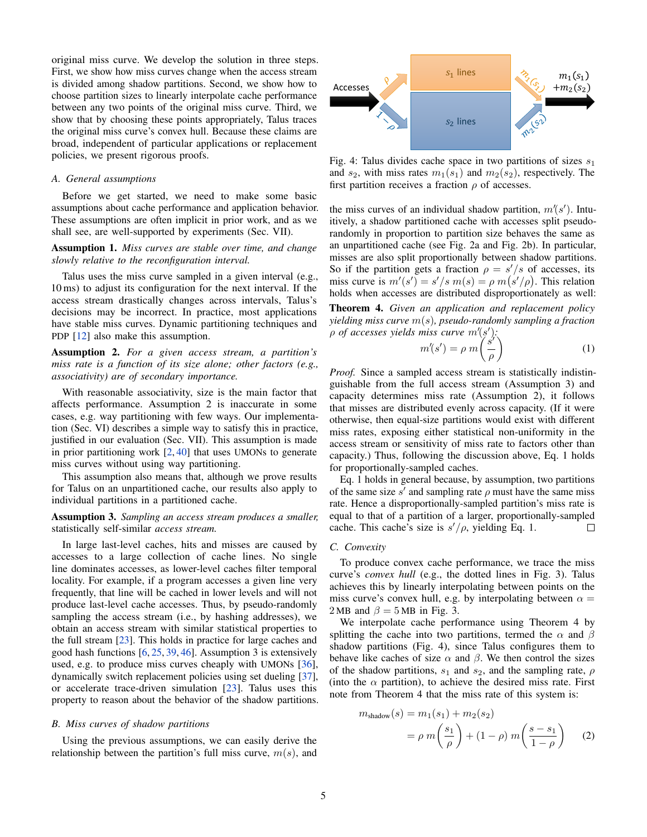original miss curve. We develop the solution in three steps. First, we show how miss curves change when the access stream is divided among shadow partitions. Second, we show how to choose partition sizes to linearly interpolate cache performance between any two points of the original miss curve. Third, we show that by choosing these points appropriately, Talus traces the original miss curve's convex hull. Because these claims are broad, independent of particular applications or replacement policies, we present rigorous proofs.

# <span id="page-4-5"></span>*A. General assumptions*

Before we get started, we need to make some basic assumptions about cache performance and application behavior. These assumptions are often implicit in prior work, and as we shall see, are well-supported by experiments [\(Sec. VII\)](#page-7-0).

Assumption 1. *Miss curves are stable over time, and change slowly relative to the reconfiguration interval.*

Talus uses the miss curve sampled in a given interval (e.g., 10 ms) to adjust its configuration for the next interval. If the access stream drastically changes across intervals, Talus's decisions may be incorrect. In practice, most applications have stable miss curves. Dynamic partitioning techniques and PDP [\[12\]](#page-11-7) also make this assumption.

<span id="page-4-1"></span>Assumption 2. *For a given access stream, a partition's miss rate is a function of its size alone; other factors (e.g., associativity) are of secondary importance.*

With reasonable associativity, size is the main factor that affects performance. [Assumption 2](#page-4-1) is inaccurate in some cases, e.g. way partitioning with few ways. Our implementation [\(Sec. VI\)](#page-6-0) describes a simple way to satisfy this in practice, justified in our evaluation [\(Sec. VII\)](#page-7-0). This assumption is made in prior partitioning work [\[2,](#page-11-11) [40\]](#page-11-20) that uses UMONs to generate miss curves without using way partitioning.

This assumption also means that, although we prove results for Talus on an unpartitioned cache, our results also apply to individual partitions in a partitioned cache.

<span id="page-4-2"></span>Assumption 3. *Sampling an access stream produces a smaller,* statistically self-similar *access stream.*

In large last-level caches, hits and misses are caused by accesses to a large collection of cache lines. No single line dominates accesses, as lower-level caches filter temporal locality. For example, if a program accesses a given line very frequently, that line will be cached in lower levels and will not produce last-level cache accesses. Thus, by pseudo-randomly sampling the access stream (i.e., by hashing addresses), we obtain an access stream with similar statistical properties to the full stream [\[23\]](#page-11-41). This holds in practice for large caches and good hash functions [\[6,](#page-11-42) [25,](#page-11-43) [39,](#page-11-44) [46\]](#page-11-45). [Assumption 3](#page-4-2) is extensively used, e.g. to produce miss curves cheaply with UMONs [\[36\]](#page-11-5), dynamically switch replacement policies using set dueling [\[37\]](#page-11-9), or accelerate trace-driven simulation [\[23\]](#page-11-41). Talus uses this property to reason about the behavior of the shadow partitions.

#### *B. Miss curves of shadow partitions*

Using the previous assumptions, we can easily derive the relationship between the partition's full miss curve,  $m(s)$ , and

<span id="page-4-0"></span>

Fig. 4: Talus divides cache space in two partitions of sizes  $s_1$ and  $s_2$ , with miss rates  $m_1(s_1)$  and  $m_2(s_2)$ , respectively. The first partition receives a fraction  $\rho$  of accesses.

the miss curves of an individual shadow partition,  $m'(s')$ . Intuitively, a shadow partitioned cache with accesses split pseudorandomly in proportion to partition size behaves the same as an unpartitioned cache (see [Fig. 2a](#page-3-1) and [Fig. 2b\)](#page-3-1). In particular, misses are also split proportionally between shadow partitions. So if the partition gets a fraction  $\rho = s'/s$  of accesses, its miss curve is  $m'(s') = s'/s$   $m(s) = \rho m(s'/\rho)$ . This relation holds when accesses are distributed disproportionately as well:

<span id="page-4-4"></span>Theorem 4. *Given an application and replacement policy yielding miss curve* m(s)*, pseudo-randomly sampling a fraction* ρ *of accesses yields miss curve* m′ (s ′ )*:* ′

<span id="page-4-3"></span>
$$
m'(s') = \rho \ m\left(\frac{s'}{\rho}\right) \tag{1}
$$

*Proof.* Since a sampled access stream is statistically indistinguishable from the full access stream [\(Assumption 3\)](#page-4-2) and capacity determines miss rate [\(Assumption 2\)](#page-4-1), it follows that misses are distributed evenly across capacity. (If it were otherwise, then equal-size partitions would exist with different miss rates, exposing either statistical non-uniformity in the access stream or sensitivity of miss rate to factors other than capacity.) Thus, following the discussion above, [Eq. 1](#page-4-3) holds for proportionally-sampled caches.

[Eq. 1](#page-4-3) holds in general because, by assumption, two partitions of the same size  $s'$  and sampling rate  $\rho$  must have the same miss rate. Hence a disproportionally-sampled partition's miss rate is equal to that of a partition of a larger, proportionally-sampled cache. This cache's size is  $s'/\rho$ , yielding [Eq. 1.](#page-4-3)  $\Box$ 

#### *C. Convexity*

To produce convex cache performance, we trace the miss curve's *convex hull* (e.g., the dotted lines in [Fig. 3\)](#page-3-0). Talus achieves this by linearly interpolating between points on the miss curve's convex hull, e.g. by interpolating between  $\alpha =$ 2 MB and  $\beta = 5$  MB in [Fig. 3.](#page-3-0)

We interpolate cache performance using [Theorem 4](#page-4-4) by splitting the cache into two partitions, termed the  $\alpha$  and  $\beta$ shadow partitions [\(Fig. 4\)](#page-4-0), since Talus configures them to behave like caches of size  $\alpha$  and  $\beta$ . We then control the sizes of the shadow partitions,  $s_1$  and  $s_2$ , and the sampling rate,  $\rho$ (into the  $\alpha$  partition), to achieve the desired miss rate. First note from [Theorem 4](#page-4-4) that the miss rate of this system is:

$$
m_{\text{shadow}}(s) = m_1(s_1) + m_2(s_2)
$$
  
=  $\rho m \left( \frac{s_1}{\rho} \right) + (1 - \rho) m \left( \frac{s - s_1}{1 - \rho} \right)$  (2)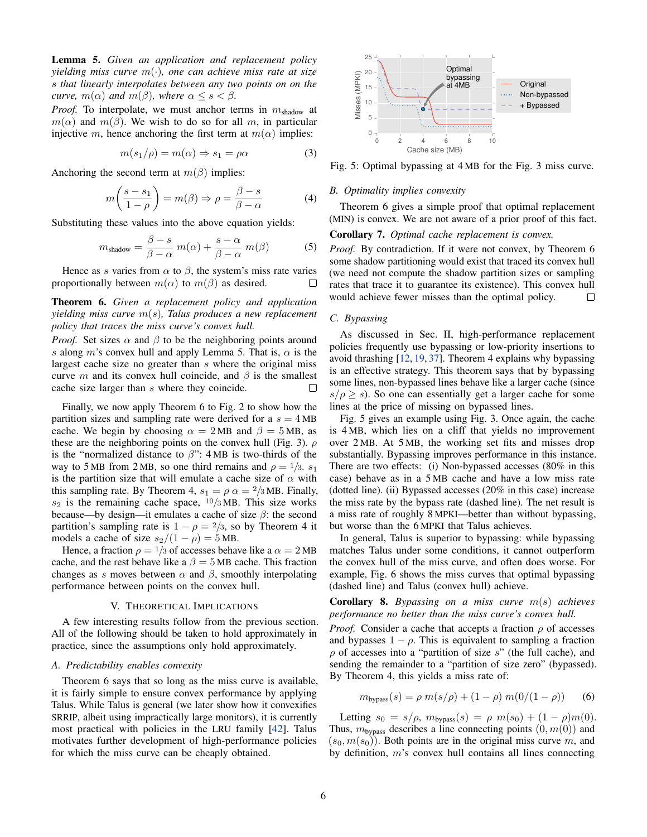<span id="page-5-1"></span>Lemma 5. *Given an application and replacement policy yielding miss curve* m(·)*, one can achieve miss rate at size* s *that linearly interpolates between any two points on on the curve,*  $m(\alpha)$  *and*  $m(\beta)$ *, where*  $\alpha \leq s < \beta$ *.* 

*Proof.* To interpolate, we must anchor terms in  $m_{\text{shadow}}$  at  $m(\alpha)$  and  $m(\beta)$ . We wish to do so for all m, in particular injective m, hence anchoring the first term at  $m(\alpha)$  implies:

$$
m(s_1/\rho) = m(\alpha) \Rightarrow s_1 = \rho \alpha \tag{3}
$$

Anchoring the second term at  $m(\beta)$  implies:

$$
m\left(\frac{s-s_1}{1-\rho}\right) = m(\beta) \Rightarrow \rho = \frac{\beta-s}{\beta-\alpha} \tag{4}
$$

Substituting these values into the above equation yields:

$$
m_{\text{shadow}} = \frac{\beta - s}{\beta - \alpha} \ m(\alpha) + \frac{s - \alpha}{\beta - \alpha} \ m(\beta) \tag{5}
$$

Hence as s varies from  $\alpha$  to  $\beta$ , the system's miss rate varies proportionally between  $m(\alpha)$  to  $m(\beta)$  as desired.

# <span id="page-5-2"></span>Theorem 6. *Given a replacement policy and application yielding miss curve* m(s)*, Talus produces a new replacement policy that traces the miss curve's convex hull.*

*Proof.* Set sizes  $\alpha$  and  $\beta$  to be the neighboring points around s along m's convex hull and apply [Lemma 5.](#page-5-1) That is,  $\alpha$  is the largest cache size no greater than  $s$  where the original miss curve m and its convex hull coincide, and  $\beta$  is the smallest cache size larger than s where they coincide.  $\Box$ 

Finally, we now apply [Theorem 6](#page-5-2) to [Fig. 2](#page-3-1) to show how the partition sizes and sampling rate were derived for a  $s = 4 \text{ MB}$ cache. We begin by choosing  $\alpha = 2MB$  and  $\beta = 5MB$ , as these are the neighboring points on the convex hull [\(Fig. 3\)](#page-3-0).  $\rho$ is the "normalized distance to  $\beta$ ": 4 MB is two-thirds of the way to 5 MB from 2 MB, so one third remains and  $\rho = \frac{1}{3}$ .  $s_1$ is the partition size that will emulate a cache size of  $\alpha$  with this sampling rate. By [Theorem 4,](#page-4-4)  $s_1 = \rho \alpha = 2/3$  MB. Finally,  $s_2$  is the remaining cache space,  $\frac{10}{3}$  MB. This size works because—by design—it emulates a cache of size  $\beta$ : the second partition's sampling rate is  $1 - \rho = \frac{2}{3}$ , so by [Theorem 4](#page-4-4) it models a cache of size  $s_2/(1 - \rho) = 5$  MB.

Hence, a fraction  $\rho = 1/3$  of accesses behave like a  $\alpha = 2 \text{ MB}$ cache, and the rest behave like a  $\beta = 5$  MB cache. This fraction changes as s moves between  $\alpha$  and  $\beta$ , smoothly interpolating performance between points on the convex hull.

### V. THEORETICAL IMPLICATIONS

A few interesting results follow from the previous section. All of the following should be taken to hold approximately in practice, since the assumptions only hold approximately.

#### *A. Predictability enables convexity*

[Theorem 6](#page-5-2) says that so long as the miss curve is available, it is fairly simple to ensure convex performance by applying Talus. While Talus is general (we later show how it convexifies SRRIP, albeit using impractically large monitors), it is currently most practical with policies in the LRU family [\[42\]](#page-11-35). Talus motivates further development of high-performance policies for which the miss curve can be cheaply obtained.

<span id="page-5-3"></span>

Fig. 5: Optimal bypassing at 4 MB for the [Fig. 3](#page-3-0) miss curve.

# *B. Optimality implies convexity*

[Theorem 6](#page-5-2) gives a simple proof that optimal replacement (MIN) is convex. We are not aware of a prior proof of this fact.

# Corollary 7. *Optimal cache replacement is convex.*

*Proof.* By contradiction. If it were not convex, by [Theorem 6](#page-5-2) some shadow partitioning would exist that traced its convex hull (we need not compute the shadow partition sizes or sampling rates that trace it to guarantee its existence). This convex hull would achieve fewer misses than the optimal policy.  $\Box$ 

# <span id="page-5-0"></span>*C. Bypassing*

As discussed in [Sec. II,](#page-1-0) high-performance replacement policies frequently use bypassing or low-priority insertions to avoid thrashing [\[12,](#page-11-7) [19,](#page-11-8) [37\]](#page-11-9). [Theorem 4](#page-4-4) explains why bypassing is an effective strategy. This theorem says that by bypassing some lines, non-bypassed lines behave like a larger cache (since  $s/\rho \geq s$ ). So one can essentially get a larger cache for some lines at the price of missing on bypassed lines.

[Fig. 5](#page-5-3) gives an example using [Fig. 3.](#page-3-0) Once again, the cache is 4 MB, which lies on a cliff that yields no improvement over 2 MB. At 5 MB, the working set fits and misses drop substantially. Bypassing improves performance in this instance. There are two effects: (i) Non-bypassed accesses (80% in this case) behave as in a 5 MB cache and have a low miss rate (dotted line). (ii) Bypassed accesses (20% in this case) increase the miss rate by the bypass rate (dashed line). The net result is a miss rate of roughly 8 MPKI—better than without bypassing, but worse than the 6 MPKI that Talus achieves.

In general, Talus is superior to bypassing: while bypassing matches Talus under some conditions, it cannot outperform the convex hull of the miss curve, and often does worse. For example, [Fig. 6](#page-6-1) shows the miss curves that optimal bypassing (dashed line) and Talus (convex hull) achieve.

<span id="page-5-4"></span>Corollary 8. *Bypassing on a miss curve* m(s) *achieves performance no better than the miss curve's convex hull.*

*Proof.* Consider a cache that accepts a fraction  $\rho$  of accesses and bypasses  $1 - \rho$ . This is equivalent to sampling a fraction  $\rho$  of accesses into a "partition of size s" (the full cache), and sending the remainder to a "partition of size zero" (bypassed). By [Theorem 4,](#page-4-4) this yields a miss rate of:

$$
m_{\text{bypass}}(s) = \rho \ m(s/\rho) + (1 - \rho) \ m(0/(1 - \rho)) \tag{6}
$$

Letting  $s_0 = s/\rho$ ,  $m_{\text{bypass}}(s) = \rho \ m(s_0) + (1 - \rho)m(0)$ . Thus,  $m_{\text{bypass}}$  describes a line connecting points  $(0, m(0))$  and  $(s_0, m(s_0))$ . Both points are in the original miss curve m, and by definition, m's convex hull contains all lines connecting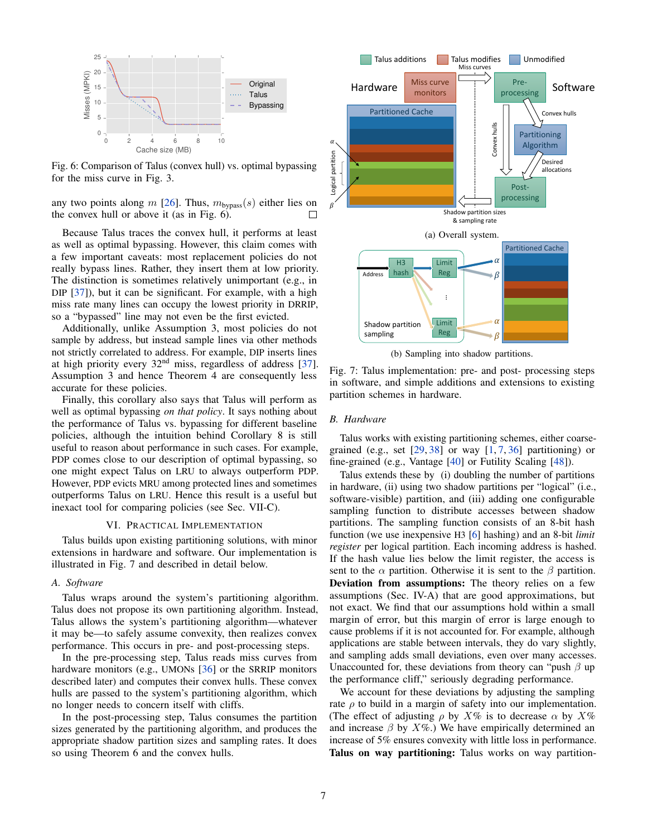<span id="page-6-1"></span>

Fig. 6: Comparison of Talus (convex hull) vs. optimal bypassing for the miss curve in [Fig. 3.](#page-3-0)

any two points along m [\[26\]](#page-11-39). Thus,  $m_{\text{bypass}}(s)$  either lies on the convex hull or above it (as in [Fig. 6\)](#page-6-1). П

Because Talus traces the convex hull, it performs at least as well as optimal bypassing. However, this claim comes with a few important caveats: most replacement policies do not really bypass lines. Rather, they insert them at low priority. The distinction is sometimes relatively unimportant (e.g., in DIP [\[37\]](#page-11-9)), but it can be significant. For example, with a high miss rate many lines can occupy the lowest priority in DRRIP, so a "bypassed" line may not even be the first evicted.

Additionally, unlike [Assumption 3,](#page-4-2) most policies do not sample by address, but instead sample lines via other methods not strictly correlated to address. For example, DIP inserts lines at high priority every 32nd miss, regardless of address [\[37\]](#page-11-9). [Assumption 3](#page-4-2) and hence [Theorem 4](#page-4-4) are consequently less accurate for these policies.

Finally, this corollary also says that Talus will perform as well as optimal bypassing *on that policy*. It says nothing about the performance of Talus vs. bypassing for different baseline policies, although the intuition behind [Corollary 8](#page-5-4) is still useful to reason about performance in such cases. For example, PDP comes close to our description of optimal bypassing, so one might expect Talus on LRU to always outperform PDP. However, PDP evicts MRU among protected lines and sometimes outperforms Talus on LRU. Hence this result is a useful but inexact tool for comparing policies (see [Sec. VII-C\)](#page-8-0).

# VI. PRACTICAL IMPLEMENTATION

<span id="page-6-0"></span>Talus builds upon existing partitioning solutions, with minor extensions in hardware and software. Our implementation is illustrated in [Fig. 7](#page-6-2) and described in detail below.

## *A. Software*

Talus wraps around the system's partitioning algorithm. Talus does not propose its own partitioning algorithm. Instead, Talus allows the system's partitioning algorithm—whatever it may be—to safely assume convexity, then realizes convex performance. This occurs in pre- and post-processing steps.

In the pre-processing step, Talus reads miss curves from hardware monitors (e.g., UMONs [\[36\]](#page-11-5) or the SRRIP monitors described later) and computes their convex hulls. These convex hulls are passed to the system's partitioning algorithm, which no longer needs to concern itself with cliffs.

In the post-processing step, Talus consumes the partition sizes generated by the partitioning algorithm, and produces the appropriate shadow partition sizes and sampling rates. It does so using [Theorem 6](#page-5-2) and the convex hulls.

<span id="page-6-2"></span>

(b) Sampling into shadow partitions.

Fig. 7: Talus implementation: pre- and post- processing steps in software, and simple additions and extensions to existing partition schemes in hardware.

# *B. Hardware*

Talus works with existing partitioning schemes, either coarsegrained (e.g., set  $[29, 38]$  $[29, 38]$  $[29, 38]$  or way  $[1, 7, 36]$  $[1, 7, 36]$  $[1, 7, 36]$  $[1, 7, 36]$  partitioning) or fine-grained (e.g., Vantage [\[40\]](#page-11-20) or Futility Scaling [\[48\]](#page-11-22)).

Talus extends these by (i) doubling the number of partitions in hardware, (ii) using two shadow partitions per "logical" (i.e., software-visible) partition, and (iii) adding one configurable sampling function to distribute accesses between shadow partitions. The sampling function consists of an 8-bit hash function (we use inexpensive H3 [\[6\]](#page-11-42) hashing) and an 8-bit *limit register* per logical partition. Each incoming address is hashed. If the hash value lies below the limit register, the access is sent to the  $\alpha$  partition. Otherwise it is sent to the  $\beta$  partition. Deviation from assumptions: The theory relies on a few assumptions (Sec. [IV-A\)](#page-4-5) that are good approximations, but not exact. We find that our assumptions hold within a small margin of error, but this margin of error is large enough to cause problems if it is not accounted for. For example, although applications are stable between intervals, they do vary slightly, and sampling adds small deviations, even over many accesses. Unaccounted for, these deviations from theory can "push  $\beta$  up the performance cliff," seriously degrading performance.

We account for these deviations by adjusting the sampling rate  $\rho$  to build in a margin of safety into our implementation. (The effect of adjusting  $\rho$  by  $X\%$  is to decrease  $\alpha$  by  $X\%$ and increase  $\beta$  by  $X\%$ .) We have empirically determined an increase of 5% ensures convexity with little loss in performance. Talus on way partitioning: Talus works on way partition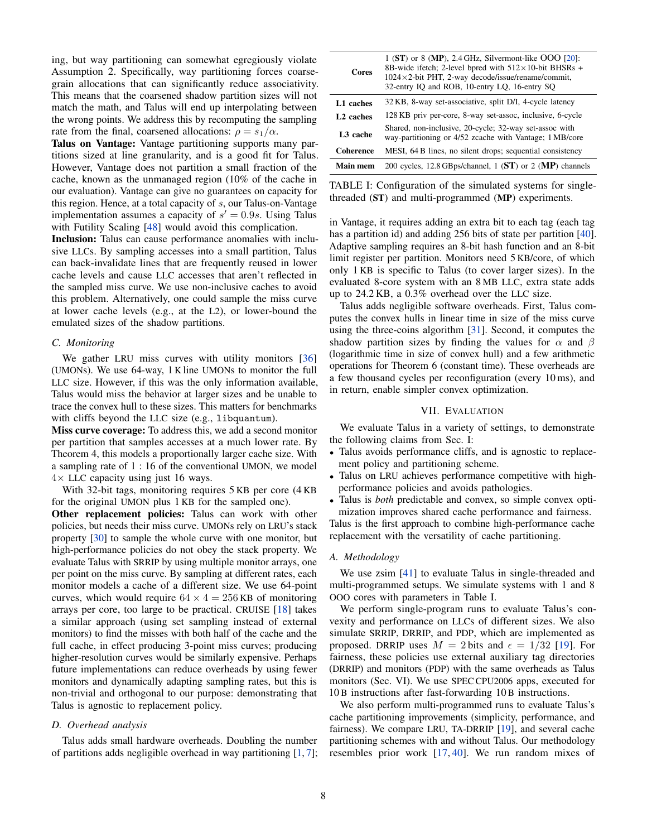ing, but way partitioning can somewhat egregiously violate [Assumption 2.](#page-4-1) Specifically, way partitioning forces coarsegrain allocations that can significantly reduce associativity. This means that the coarsened shadow partition sizes will not match the math, and Talus will end up interpolating between the wrong points. We address this by recomputing the sampling rate from the final, coarsened allocations:  $\rho = s_1/\alpha$ .

Talus on Vantage: Vantage partitioning supports many partitions sized at line granularity, and is a good fit for Talus. However, Vantage does not partition a small fraction of the cache, known as the unmanaged region (10% of the cache in our evaluation). Vantage can give no guarantees on capacity for this region. Hence, at a total capacity of  $s$ , our Talus-on-Vantage implementation assumes a capacity of  $s' = 0.9s$ . Using Talus with Futility Scaling [\[48\]](#page-11-22) would avoid this complication.

Inclusion: Talus can cause performance anomalies with inclusive LLCs. By sampling accesses into a small partition, Talus can back-invalidate lines that are frequently reused in lower cache levels and cause LLC accesses that aren't reflected in the sampled miss curve. We use non-inclusive caches to avoid this problem. Alternatively, one could sample the miss curve at lower cache levels (e.g., at the L2), or lower-bound the emulated sizes of the shadow partitions.

# <span id="page-7-2"></span>*C. Monitoring*

We gather LRU miss curves with utility monitors [\[36\]](#page-11-5) (UMONs). We use 64-way, 1 K line UMONs to monitor the full LLC size. However, if this was the only information available, Talus would miss the behavior at larger sizes and be unable to trace the convex hull to these sizes. This matters for benchmarks with cliffs beyond the LLC size (e.g., libquantum).

Miss curve coverage: To address this, we add a second monitor per partition that samples accesses at a much lower rate. By [Theorem 4,](#page-4-4) this models a proportionally larger cache size. With a sampling rate of 1 : 16 of the conventional UMON, we model  $4\times$  LLC capacity using just 16 ways.

With 32-bit tags, monitoring requires 5 KB per core (4 KB for the original UMON plus 1 KB for the sampled one).

Other replacement policies: Talus can work with other policies, but needs their miss curve. UMONs rely on LRU's stack property [\[30\]](#page-11-15) to sample the whole curve with one monitor, but high-performance policies do not obey the stack property. We evaluate Talus with SRRIP by using multiple monitor arrays, one per point on the miss curve. By sampling at different rates, each monitor models a cache of a different size. We use 64-point curves, which would require  $64 \times 4 = 256$  KB of monitoring arrays per core, too large to be practical. CRUISE [\[18\]](#page-11-46) takes a similar approach (using set sampling instead of external monitors) to find the misses with both half of the cache and the full cache, in effect producing 3-point miss curves; producing higher-resolution curves would be similarly expensive. Perhaps future implementations can reduce overheads by using fewer monitors and dynamically adapting sampling rates, but this is non-trivial and orthogonal to our purpose: demonstrating that Talus is agnostic to replacement policy.

# *D. Overhead analysis*

Talus adds small hardware overheads. Doubling the number of partitions adds negligible overhead in way partitioning [\[1,](#page-11-21) [7\]](#page-11-19);

<span id="page-7-1"></span>

| <b>Cores</b>          | $1$ (ST) or 8 (MP), 2.4 GHz, Silvermont-like OOO $[20]$ :<br>8B-wide if etch; 2-level bpred with $512 \times 10$ -bit BHSRs +<br>$1024 \times 2$ -bit PHT, 2-way decode/issue/rename/commit,<br>32-entry IQ and ROB, 10-entry LQ, 16-entry SQ |
|-----------------------|-----------------------------------------------------------------------------------------------------------------------------------------------------------------------------------------------------------------------------------------------|
| L1 caches             | 32 KB, 8-way set-associative, split D/I, 4-cycle latency                                                                                                                                                                                      |
| L <sub>2</sub> caches | 128 KB priv per-core, 8-way set-assoc, inclusive, 6-cycle                                                                                                                                                                                     |
| L <sub>3</sub> cache  | Shared, non-inclusive, 20-cycle; 32-way set-assoc with<br>way-partitioning or 4/52 zcache with Vantage; 1 MB/core                                                                                                                             |
| Coherence             | MESI, 64 B lines, no silent drops; sequential consistency                                                                                                                                                                                     |
| <b>Main mem</b>       | 200 cycles, 12.8 GBps/channel, 1 ( $ST$ ) or 2 ( $MP$ ) channels                                                                                                                                                                              |

TABLE I: Configuration of the simulated systems for singlethreaded (ST) and multi-programmed (MP) experiments.

in Vantage, it requires adding an extra bit to each tag (each tag has a partition id) and adding 256 bits of state per partition [\[40\]](#page-11-20). Adaptive sampling requires an 8-bit hash function and an 8-bit limit register per partition. Monitors need 5 KB/core, of which only 1 KB is specific to Talus (to cover larger sizes). In the evaluated 8-core system with an 8 MB LLC, extra state adds up to 24.2 KB, a 0.3% overhead over the LLC size.

Talus adds negligible software overheads. First, Talus computes the convex hulls in linear time in size of the miss curve using the three-coins algorithm [\[31\]](#page-11-40). Second, it computes the shadow partition sizes by finding the values for  $\alpha$  and  $\beta$ (logarithmic time in size of convex hull) and a few arithmetic operations for [Theorem 6](#page-5-2) (constant time). These overheads are a few thousand cycles per reconfiguration (every 10 ms), and in return, enable simpler convex optimization.

# VII. EVALUATION

<span id="page-7-0"></span>We evaluate Talus in a variety of settings, to demonstrate the following claims from [Sec. I:](#page-0-2)

- Talus avoids performance cliffs, and is agnostic to replacement policy and partitioning scheme.
- Talus on LRU achieves performance competitive with highperformance policies and avoids pathologies.
- Talus is *both* predictable and convex, so simple convex optimization improves shared cache performance and fairness.

Talus is the first approach to combine high-performance cache replacement with the versatility of cache partitioning.

## *A. Methodology*

We use zsim [\[41\]](#page-11-48) to evaluate Talus in single-threaded and multi-programmed setups. We simulate systems with 1 and 8 OOO cores with parameters in [Table I.](#page-7-1)

We perform single-program runs to evaluate Talus's convexity and performance on LLCs of different sizes. We also simulate SRRIP, DRRIP, and PDP, which are implemented as proposed. DRRIP uses  $M = 2$  bits and  $\epsilon = 1/32$  [\[19\]](#page-11-8). For fairness, these policies use external auxiliary tag directories (DRRIP) and monitors (PDP) with the same overheads as Talus monitors [\(Sec. VI\)](#page-6-0). We use SPEC CPU2006 apps, executed for 10 B instructions after fast-forwarding 10 B instructions.

We also perform multi-programmed runs to evaluate Talus's cache partitioning improvements (simplicity, performance, and fairness). We compare LRU, TA-DRRIP [\[19\]](#page-11-8), and several cache partitioning schemes with and without Talus. Our methodology resembles prior work [\[17,](#page-11-27) [40\]](#page-11-20). We run random mixes of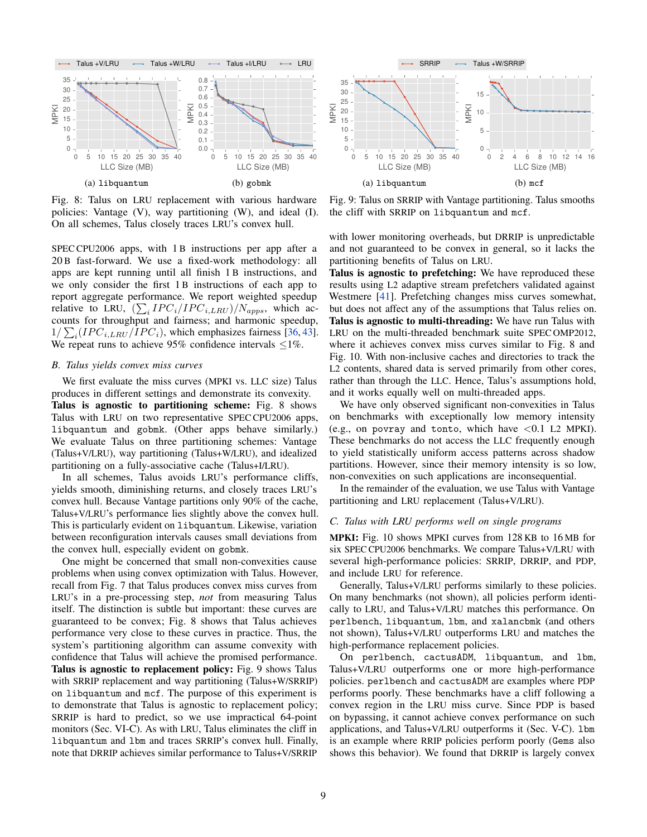<span id="page-8-1"></span>

Fig. 8: Talus on LRU replacement with various hardware policies: Vantage (V), way partitioning (W), and ideal (I). On all schemes, Talus closely traces LRU's convex hull.

SPEC CPU2006 apps, with 1 B instructions per app after a 20 B fast-forward. We use a fixed-work methodology: all apps are kept running until all finish 1 B instructions, and we only consider the first 1 B instructions of each app to report aggregate performance. We report weighted speedup relative to LRU,  $(\sum_{i} IPC_{i}/IPC_{i,LRU})/N_{apps}$ , which accounts for throughput and fairness; and harmonic speedup,  $1/\sum_i (IPC_{i,LRU}/IPC_i)$ , which emphasizes fairness [\[36,](#page-11-5) [43\]](#page-11-49). We repeat runs to achieve 95% confidence intervals  $\leq$ 1%.

# *B. Talus yields convex miss curves*

We first evaluate the miss curves (MPKI vs. LLC size) Talus produces in different settings and demonstrate its convexity. Talus is agnostic to partitioning scheme: [Fig. 8](#page-8-1) shows Talus with LRU on two representative SPEC CPU2006 apps, libquantum and gobmk. (Other apps behave similarly.) We evaluate Talus on three partitioning schemes: Vantage (Talus+V/LRU), way partitioning (Talus+W/LRU), and idealized partitioning on a fully-associative cache (Talus+I/LRU).

In all schemes, Talus avoids LRU's performance cliffs, yields smooth, diminishing returns, and closely traces LRU's convex hull. Because Vantage partitions only 90% of the cache, Talus+V/LRU's performance lies slightly above the convex hull. This is particularly evident on libquantum. Likewise, variation between reconfiguration intervals causes small deviations from the convex hull, especially evident on gobmk.

One might be concerned that small non-convexities cause problems when using convex optimization with Talus. However, recall from [Fig. 7](#page-6-2) that Talus produces convex miss curves from LRU's in a pre-processing step, *not* from measuring Talus itself. The distinction is subtle but important: these curves are guaranteed to be convex; [Fig. 8](#page-8-1) shows that Talus achieves performance very close to these curves in practice. Thus, the system's partitioning algorithm can assume convexity with confidence that Talus will achieve the promised performance. Talus is agnostic to replacement policy: [Fig. 9](#page-8-2) shows Talus with SRRIP replacement and way partitioning (Talus+W/SRRIP) on libquantum and mcf. The purpose of this experiment is to demonstrate that Talus is agnostic to replacement policy; SRRIP is hard to predict, so we use impractical 64-point monitors (Sec. [VI-C\)](#page-7-2). As with LRU, Talus eliminates the cliff in libquantum and lbm and traces SRRIP's convex hull. Finally, note that DRRIP achieves similar performance to Talus+V/SRRIP

<span id="page-8-2"></span>

Fig. 9: Talus on SRRIP with Vantage partitioning. Talus smooths the cliff with SRRIP on libquantum and mcf.

with lower monitoring overheads, but DRRIP is unpredictable and not guaranteed to be convex in general, so it lacks the partitioning benefits of Talus on LRU.

Talus is agnostic to prefetching: We have reproduced these results using L2 adaptive stream prefetchers validated against Westmere [\[41\]](#page-11-48). Prefetching changes miss curves somewhat, but does not affect any of the assumptions that Talus relies on. Talus is agnostic to multi-threading: We have run Talus with LRU on the multi-threaded benchmark suite SPEC OMP2012, where it achieves convex miss curves similar to [Fig. 8](#page-8-1) and [Fig. 10.](#page-9-0) With non-inclusive caches and directories to track the L2 contents, shared data is served primarily from other cores, rather than through the LLC. Hence, Talus's assumptions hold, and it works equally well on multi-threaded apps.

We have only observed significant non-convexities in Talus on benchmarks with exceptionally low memory intensity (e.g., on povray and tonto, which have  $< 0.1$  L2 MPKI). These benchmarks do not access the LLC frequently enough to yield statistically uniform access patterns across shadow partitions. However, since their memory intensity is so low, non-convexities on such applications are inconsequential.

In the remainder of the evaluation, we use Talus with Vantage partitioning and LRU replacement (Talus+V/LRU).

# <span id="page-8-0"></span>*C. Talus with LRU performs well on single programs*

MPKI: [Fig. 10](#page-9-0) shows MPKI curves from 128 KB to 16 MB for six SPEC CPU2006 benchmarks. We compare Talus+V/LRU with several high-performance policies: SRRIP, DRRIP, and PDP, and include LRU for reference.

Generally, Talus+V/LRU performs similarly to these policies. On many benchmarks (not shown), all policies perform identically to LRU, and Talus+V/LRU matches this performance. On perlbench, libquantum, lbm, and xalancbmk (and others not shown), Talus+V/LRU outperforms LRU and matches the high-performance replacement policies.

On perlbench, cactusADM, libquantum, and lbm, Talus+V/LRU outperforms one or more high-performance policies. perlbench and cactusADM are examples where PDP performs poorly. These benchmarks have a cliff following a convex region in the LRU miss curve. Since PDP is based on bypassing, it cannot achieve convex performance on such applications, and Talus+V/LRU outperforms it [\(Sec.](#page-5-0) V-C). lbm is an example where RRIP policies perform poorly (Gems also shows this behavior). We found that DRRIP is largely convex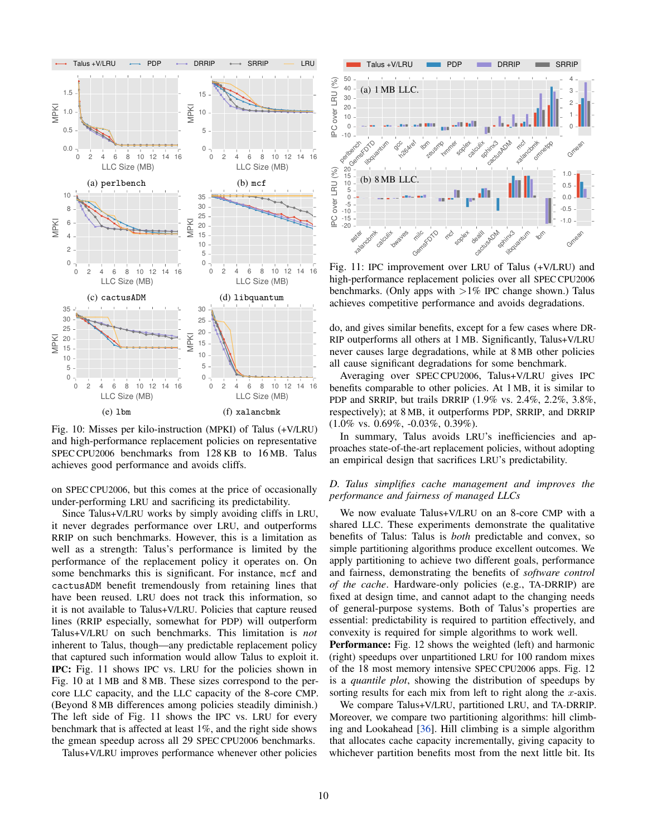<span id="page-9-0"></span>

Fig. 10: Misses per kilo-instruction (MPKI) of Talus (+V/LRU) and high-performance replacement policies on representative SPEC CPU2006 benchmarks from 128 KB to 16 MB. Talus achieves good performance and avoids cliffs.

on SPEC CPU2006, but this comes at the price of occasionally under-performing LRU and sacrificing its predictability.

Since Talus+V/LRU works by simply avoiding cliffs in LRU, it never degrades performance over LRU, and outperforms RRIP on such benchmarks. However, this is a limitation as well as a strength: Talus's performance is limited by the performance of the replacement policy it operates on. On some benchmarks this is significant. For instance, mcf and cactusADM benefit tremendously from retaining lines that have been reused. LRU does not track this information, so it is not available to Talus+V/LRU. Policies that capture reused lines (RRIP especially, somewhat for PDP) will outperform Talus+V/LRU on such benchmarks. This limitation is *not* inherent to Talus, though—any predictable replacement policy that captured such information would allow Talus to exploit it. IPC: [Fig. 11](#page-9-1) shows IPC vs. LRU for the policies shown in [Fig. 10](#page-9-0) at 1 MB and 8 MB. These sizes correspond to the percore LLC capacity, and the LLC capacity of the 8-core CMP. (Beyond 8 MB differences among policies steadily diminish.) The left side of [Fig. 11](#page-9-1) shows the IPC vs. LRU for every benchmark that is affected at least 1%, and the right side shows the gmean speedup across all 29 SPEC CPU2006 benchmarks.

Talus+V/LRU improves performance whenever other policies

<span id="page-9-1"></span>

Fig. 11: IPC improvement over LRU of Talus (+V/LRU) and high-performance replacement policies over all SPEC CPU2006 benchmarks. (Only apps with  $>1\%$  IPC change shown.) Talus achieves competitive performance and avoids degradations.

do, and gives similar benefits, except for a few cases where DR-RIP outperforms all others at 1 MB. Significantly, Talus+V/LRU never causes large degradations, while at 8 MB other policies all cause significant degradations for some benchmark.

Averaging over SPEC CPU2006, Talus+V/LRU gives IPC benefits comparable to other policies. At 1 MB, it is similar to PDP and SRRIP, but trails DRRIP (1.9% vs. 2.4%, 2.2%, 3.8%, respectively); at 8 MB, it outperforms PDP, SRRIP, and DRRIP (1.0% vs. 0.69%, -0.03%, 0.39%).

In summary, Talus avoids LRU's inefficiencies and approaches state-of-the-art replacement policies, without adopting an empirical design that sacrifices LRU's predictability.

# *D. Talus simplifies cache management and improves the performance and fairness of managed LLCs*

We now evaluate Talus+V/LRU on an 8-core CMP with a shared LLC. These experiments demonstrate the qualitative benefits of Talus: Talus is *both* predictable and convex, so simple partitioning algorithms produce excellent outcomes. We apply partitioning to achieve two different goals, performance and fairness, demonstrating the benefits of *software control of the cache*. Hardware-only policies (e.g., TA-DRRIP) are fixed at design time, and cannot adapt to the changing needs of general-purpose systems. Both of Talus's properties are essential: predictability is required to partition effectively, and convexity is required for simple algorithms to work well.

Performance: [Fig. 12](#page-10-0) shows the weighted (left) and harmonic (right) speedups over unpartitioned LRU for 100 random mixes of the 18 most memory intensive SPEC CPU2006 apps. [Fig. 12](#page-10-0) is a *quantile plot*, showing the distribution of speedups by sorting results for each mix from left to right along the  $x$ -axis.

We compare Talus+V/LRU, partitioned LRU, and TA-DRRIP. Moreover, we compare two partitioning algorithms: hill climbing and Lookahead [\[36\]](#page-11-5). Hill climbing is a simple algorithm that allocates cache capacity incrementally, giving capacity to whichever partition benefits most from the next little bit. Its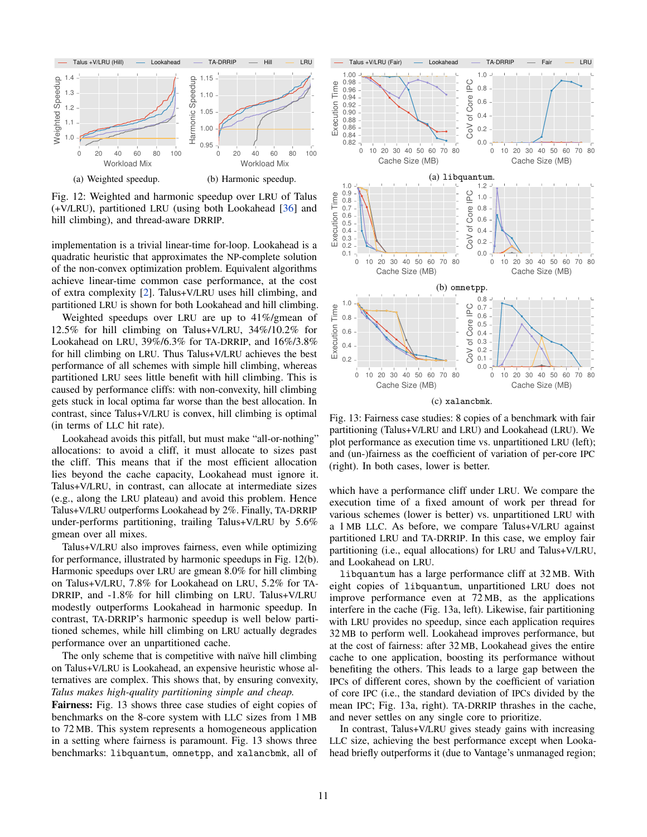<span id="page-10-0"></span>

Fig. 12: Weighted and harmonic speedup over LRU of Talus (+V/LRU), partitioned LRU (using both Lookahead [\[36\]](#page-11-5) and hill climbing), and thread-aware DRRIP.

implementation is a trivial linear-time for-loop. Lookahead is a quadratic heuristic that approximates the NP-complete solution of the non-convex optimization problem. Equivalent algorithms achieve linear-time common case performance, at the cost of extra complexity [\[2\]](#page-11-11). Talus+V/LRU uses hill climbing, and partitioned LRU is shown for both Lookahead and hill climbing.

Weighted speedups over LRU are up to 41%/gmean of 12.5% for hill climbing on Talus+V/LRU, 34%/10.2% for Lookahead on LRU, 39%/6.3% for TA-DRRIP, and 16%/3.8% for hill climbing on LRU. Thus Talus+V/LRU achieves the best performance of all schemes with simple hill climbing, whereas partitioned LRU sees little benefit with hill climbing. This is caused by performance cliffs: with non-convexity, hill climbing gets stuck in local optima far worse than the best allocation. In contrast, since Talus+V/LRU is convex, hill climbing is optimal (in terms of LLC hit rate).

Lookahead avoids this pitfall, but must make "all-or-nothing" allocations: to avoid a cliff, it must allocate to sizes past the cliff. This means that if the most efficient allocation lies beyond the cache capacity, Lookahead must ignore it. Talus+V/LRU, in contrast, can allocate at intermediate sizes (e.g., along the LRU plateau) and avoid this problem. Hence Talus+V/LRU outperforms Lookahead by 2%. Finally, TA-DRRIP under-performs partitioning, trailing Talus+V/LRU by 5.6% gmean over all mixes.

Talus+V/LRU also improves fairness, even while optimizing for performance, illustrated by harmonic speedups in [Fig. 12\(](#page-10-0)b). Harmonic speedups over LRU are gmean 8.0% for hill climbing on Talus+V/LRU, 7.8% for Lookahead on LRU, 5.2% for TA-DRRIP, and -1.8% for hill climbing on LRU. Talus+V/LRU modestly outperforms Lookahead in harmonic speedup. In contrast, TA-DRRIP's harmonic speedup is well below partitioned schemes, while hill climbing on LRU actually degrades performance over an unpartitioned cache.

The only scheme that is competitive with naïve hill climbing on Talus+V/LRU is Lookahead, an expensive heuristic whose alternatives are complex. This shows that, by ensuring convexity, *Talus makes high-quality partitioning simple and cheap.*

Fairness: [Fig. 13](#page-10-1) shows three case studies of eight copies of benchmarks on the 8-core system with LLC sizes from 1 MB to 72 MB. This system represents a homogeneous application in a setting where fairness is paramount. [Fig. 13](#page-10-1) shows three benchmarks: libquantum, omnetpp, and xalancbmk, all of

<span id="page-10-1"></span>

Fig. 13: Fairness case studies: 8 copies of a benchmark with fair partitioning (Talus+V/LRU and LRU) and Lookahead (LRU). We plot performance as execution time vs. unpartitioned LRU (left); and (un-)fairness as the coefficient of variation of per-core IPC (right). In both cases, lower is better.

which have a performance cliff under LRU. We compare the execution time of a fixed amount of work per thread for various schemes (lower is better) vs. unpartitioned LRU with a 1 MB LLC. As before, we compare Talus+V/LRU against partitioned LRU and TA-DRRIP. In this case, we employ fair partitioning (i.e., equal allocations) for LRU and Talus+V/LRU, and Lookahead on LRU.

libquantum has a large performance cliff at 32 MB. With eight copies of libquantum, unpartitioned LRU does not improve performance even at 72 MB, as the applications interfere in the cache [\(Fig. 13a,](#page-10-1) left). Likewise, fair partitioning with LRU provides no speedup, since each application requires 32 MB to perform well. Lookahead improves performance, but at the cost of fairness: after 32 MB, Lookahead gives the entire cache to one application, boosting its performance without benefiting the others. This leads to a large gap between the IPCs of different cores, shown by the coefficient of variation of core IPC (i.e., the standard deviation of IPCs divided by the mean IPC; [Fig. 13a,](#page-10-1) right). TA-DRRIP thrashes in the cache, and never settles on any single core to prioritize.

In contrast, Talus+V/LRU gives steady gains with increasing LLC size, achieving the best performance except when Lookahead briefly outperforms it (due to Vantage's unmanaged region;